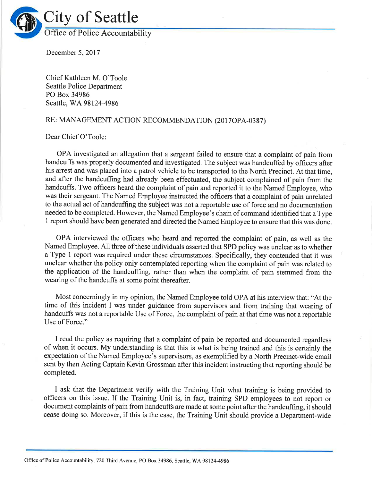

December 5, 2017

Chief Kathleen M. O'Toole Seattle Police Department PO Box 34986 Seattle, WA 98124-4986

## RE: MANAGEMENT ACTION RECOMMENDATION (2017OPA-0387)

Dear Chief O'Toole:

OPA investigated an allegation that a sergeant failed to ensure that a complaint of pain from handcuffs was properly documented and investigated. The subject was handcuffed by officers after his arrest and was placed into a patrol vehicle to be transported to the North Precinct. At that time, and after the handcuffing had already been effectuated, the subject complained of pain from the handcuffs. Two officers heard the complaint of pain and reported it to the Named Employee, who was their sergeant. The Named Employee instructed the officers that a complaint of pain unrelated to the actual act of handcuffing the subject was not a reportable use of force and no documentation needed to be completed. However, the Named Employee's chain of command identified that a Type <sup>1</sup>report should have been generated and directed the Named Employee to ensure that this was done.

OPA interviewed the officers who heard and reported the complaint of pain, as well as the Named Employee. All three of these individuals asserted that SPD policy was unclear as to whether a Type 1 report was required under these circumstances. Specifically, they contended that it was unclear whether the policy only contemplated reporting when the complaint of pain was related to the application of the handcuffing, rather than when the complaint of pain stemmed from the wearing of the handcuffs at some point thereafter.

Most concerningly in my opinion, the Named Employee told OPA at his interview that: "At the time of this incident I was under guidance from supervisors and from training that wearing of handcuffs was not a reportable Use of Force, the complaint of pain at that time was not a reportable Use of Force."

I read the policy as requiring that a complaint of pain be reported and documented regardless of when it occurs. My understanding is that this is what is being trained and this is certainly the expectation of the Named Employee's supervisors, as exemplified by a North Precinct-wide email sent by then Acting Captain Kevin Grossman after this incident instructing that reporting should be completed.

I ask that the Department verify with the Training Unit what training is being provided to officers on this issue. If the Training Unit is, in fact, training SPD employees to not report or document complaints of pain from handcuffs are made at some point after the handcuffing, it should cease doing so. Moreover, if this is the case, the Training Unit should provide a Department-wide